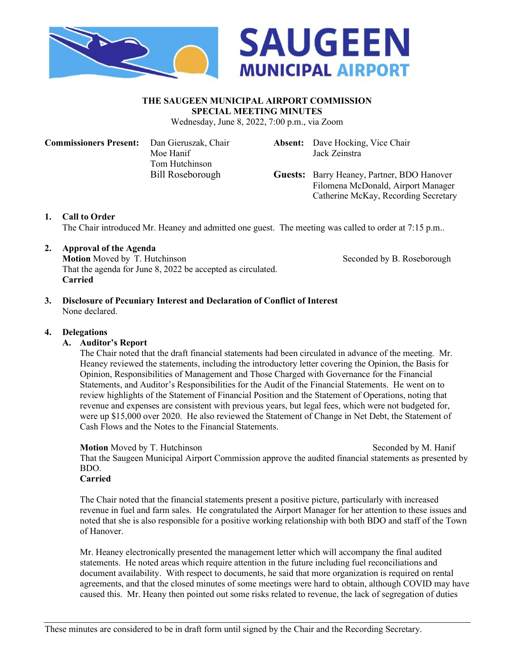



#### **THE SAUGEEN MUNICIPAL AIRPORT COMMISSION SPECIAL MEETING MINUTES**

Wednesday, June 8, 2022, 7:00 p.m., via Zoom

**Commissioners Present:** Dan Gieruszak, Chair **Absent:** Dave Hocking, Vice Chair Moe Hanif Tom Hutchinson

Jack Zeinstra

Bill Roseborough **Guests:** Barry Heaney, Partner, BDO Hanover Filomena McDonald, Airport Manager Catherine McKay, Recording Secretary

# **1. Call to Order**

The Chair introduced Mr. Heaney and admitted one guest. The meeting was called to order at 7:15 p.m..

## **2. Approval of the Agenda**

**Motion** Moved by T. Hutchinson Seconded by B. Roseborough That the agenda for June 8, 2022 be accepted as circulated. **Carried**

**3. Disclosure of Pecuniary Interest and Declaration of Conflict of Interest** None declared.

### **4. Delegations**

#### **A. Auditor's Report**

The Chair noted that the draft financial statements had been circulated in advance of the meeting. Mr. Heaney reviewed the statements, including the introductory letter covering the Opinion, the Basis for Opinion, Responsibilities of Management and Those Charged with Governance for the Financial Statements, and Auditor's Responsibilities for the Audit of the Financial Statements. He went on to review highlights of the Statement of Financial Position and the Statement of Operations, noting that revenue and expenses are consistent with previous years, but legal fees, which were not budgeted for, were up \$15,000 over 2020. He also reviewed the Statement of Change in Net Debt, the Statement of Cash Flows and the Notes to the Financial Statements.

#### **Motion** Moved by T. Hutchinson Seconded by M. Hanif

That the Saugeen Municipal Airport Commission approve the audited financial statements as presented by BDO.

## **Carried**

The Chair noted that the financial statements present a positive picture, particularly with increased revenue in fuel and farm sales. He congratulated the Airport Manager for her attention to these issues and noted that she is also responsible for a positive working relationship with both BDO and staff of the Town of Hanover.

Mr. Heaney electronically presented the management letter which will accompany the final audited statements. He noted areas which require attention in the future including fuel reconciliations and document availability. With respect to documents, he said that more organization is required on rental agreements, and that the closed minutes of some meetings were hard to obtain, although COVID may have caused this. Mr. Heany then pointed out some risks related to revenue, the lack of segregation of duties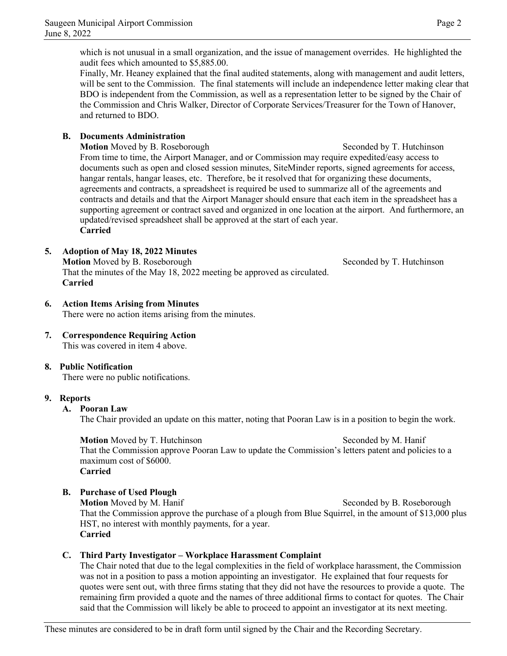which is not unusual in a small organization, and the issue of management overrides. He highlighted the audit fees which amounted to \$5,885.00.

Finally, Mr. Heaney explained that the final audited statements, along with management and audit letters, will be sent to the Commission. The final statements will include an independence letter making clear that BDO is independent from the Commission, as well as a representation letter to be signed by the Chair of the Commission and Chris Walker, Director of Corporate Services/Treasurer for the Town of Hanover, and returned to BDO.

# **B. Documents Administration**

**Motion** Moved by B. Roseborough Seconded by T. Hutchinson From time to time, the Airport Manager, and or Commission may require expedited/easy access to documents such as open and closed session minutes, SiteMinder reports, signed agreements for access, hangar rentals, hangar leases, etc. Therefore, be it resolved that for organizing these documents, agreements and contracts, a spreadsheet is required be used to summarize all of the agreements and contracts and details and that the Airport Manager should ensure that each item in the spreadsheet has a supporting agreement or contract saved and organized in one location at the airport. And furthermore, an updated/revised spreadsheet shall be approved at the start of each year. **Carried**

# **5. Adoption of May 18, 2022 Minutes**

**Motion** Moved by B. Roseborough Seconded by T. Hutchinson That the minutes of the May 18, 2022 meeting be approved as circulated. **Carried**

# **6. Action Items Arising from Minutes**

There were no action items arising from the minutes.

**7. Correspondence Requiring Action** This was covered in item 4 above.

# **8. Public Notification**

There were no public notifications.

# **9. Reports**

# **A. Pooran Law**

The Chair provided an update on this matter, noting that Pooran Law is in a position to begin the work.

**Motion** Moved by T. Hutchinson Seconded by M. Hanif That the Commission approve Pooran Law to update the Commission's letters patent and policies to a maximum cost of \$6000. **Carried**

# **B. Purchase of Used Plough**

**Motion** Moved by M. Hanif Seconded by B. Roseborough That the Commission approve the purchase of a plough from Blue Squirrel, in the amount of \$13,000 plus HST, no interest with monthly payments, for a year. **Carried**

# **C. Third Party Investigator – Workplace Harassment Complaint**

The Chair noted that due to the legal complexities in the field of workplace harassment, the Commission was not in a position to pass a motion appointing an investigator. He explained that four requests for quotes were sent out, with three firms stating that they did not have the resources to provide a quote. The remaining firm provided a quote and the names of three additional firms to contact for quotes. The Chair said that the Commission will likely be able to proceed to appoint an investigator at its next meeting.